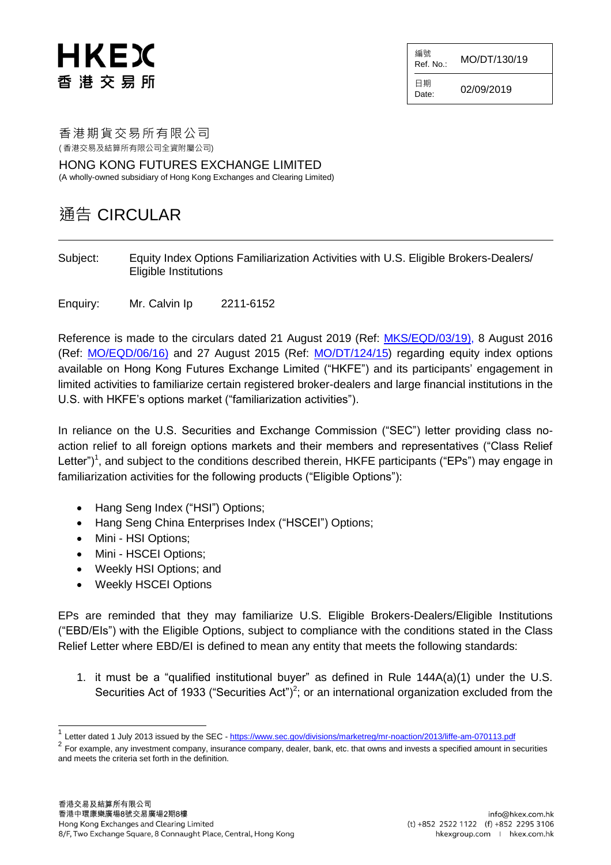# HKEX 香 港 交 易 所

編號  $R$ ef. No.: MO/DT/130/19

日期  $Date: 02/09/2019$ 

香港期貨交易所有限公司 ( 香港交易及結算所有限公司全資附屬公司)

HONG KONG FUTURES EXCHANGE LIMITED (A wholly-owned subsidiary of Hong Kong Exchanges and Clearing Limited)

## 通告 CIRCULAR

Subject: Equity Index Options Familiarization Activities with U.S. Eligible Brokers-Dealers/ Eligible Institutions

Enquiry: Mr. Calvin Ip 2211-6152

Reference is made to the circulars dated 21 August 2019 (Ref: [MKS/EQD/03/19\)](https://www.hkex.com.hk/-/media/HKEX-Market/Services/Circulars-and-Notices/Participant-and-Members-Circulars/HKFE/2019/MKS_EQD_03_19_e.pdf), 8 August 2016 (Ref: [MO/EQD/06/16\)](https://www.hkex.com.hk/-/media/HKEX-Market/Services/Circulars-and-Notices/Participant-and-Members-Circulars/HKFE/2016/MKD_EQD_06_16_e.pdf) and 27 August 2015 (Ref: [MO/DT/124/15\)](https://www.hkex.com.hk/-/media/HKEX-Market/Services/Circulars-and-Notices/Participant-and-Members-Circulars/HKFE/2015/MODT12415_e.pdf) regarding equity index options available on Hong Kong Futures Exchange Limited ("HKFE") and its participants' engagement in limited activities to familiarize certain registered broker-dealers and large financial institutions in the U.S. with HKFE's options market ("familiarization activities").

In reliance on the U.S. Securities and Exchange Commission ("SEC") letter providing class noaction relief to all foreign options markets and their members and representatives ("Class Relief Letter")<sup>1</sup>, and subject to the conditions described therein, HKFE participants ("EPs") may engage in familiarization activities for the following products ("Eligible Options"):

- Hang Seng Index ("HSI") Options;
- Hang Seng China Enterprises Index ("HSCEI") Options;
- Mini HSI Options;

 $\overline{\phantom{a}}$ 

- Mini HSCEI Options;
- Weekly HSI Options; and
- Weekly HSCEI Options

EPs are reminded that they may familiarize U.S. Eligible Brokers-Dealers/Eligible Institutions ("EBD/EIs") with the Eligible Options, subject to compliance with the conditions stated in the Class Relief Letter where EBD/EI is defined to mean any entity that meets the following standards:

1. it must be a "qualified institutional buyer" as defined in Rule 144A(a)(1) under the U.S. Securities Act of 1933 ("Securities Act")<sup>2</sup>; or an international organization excluded from the

<sup>1</sup> Letter dated 1 July 2013 issued by the SEC - <https://www.sec.gov/divisions/marketreg/mr-noaction/2013/liffe-am-070113.pdf>

 $^2$  For example, any investment company, insurance company, dealer, bank, etc. that owns and invests a specified amount in securities and meets the criteria set forth in the definition.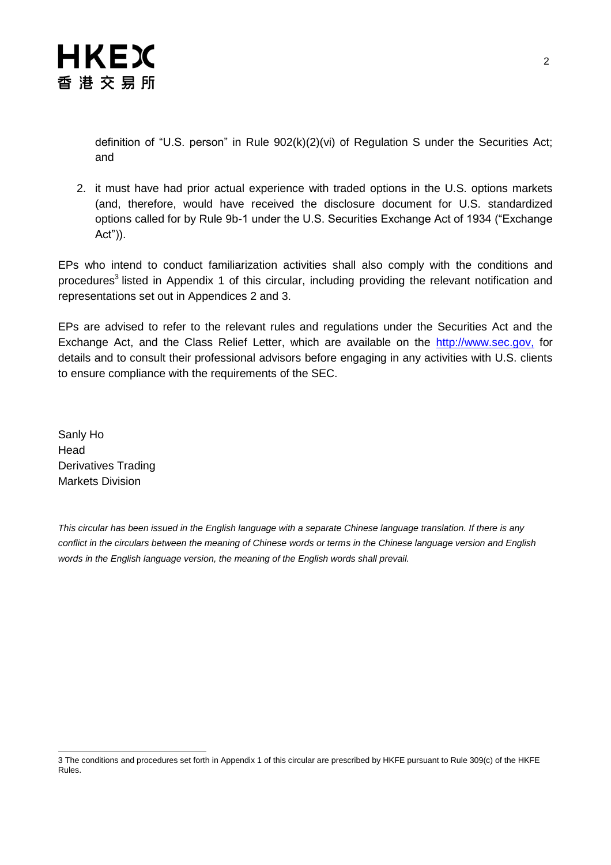

definition of "U.S. person" in Rule 902(k)(2)(vi) of Regulation S under the Securities Act; and

2. it must have had prior actual experience with traded options in the U.S. options markets (and, therefore, would have received the disclosure document for U.S. standardized options called for by Rule 9b-1 under the U.S. Securities Exchange Act of 1934 ("Exchange Act")).

EPs who intend to conduct familiarization activities shall also comply with the conditions and procedures<sup>3</sup> listed in Appendix 1 of this circular, including providing the relevant notification and representations set out in Appendices 2 and 3.

EPs are advised to refer to the relevant rules and regulations under the Securities Act and the Exchange Act, and the Class Relief Letter, which are available on the [http://www.sec.gov,](http://www.sec.gov/) for details and to consult their professional advisors before engaging in any activities with U.S. clients to ensure compliance with the requirements of the SEC.

Sanly Ho Head Derivatives Trading Markets Division

*This circular has been issued in the English language with a separate Chinese language translation. If there is any conflict in the circulars between the meaning of Chinese words or terms in the Chinese language version and English words in the English language version, the meaning of the English words shall prevail.*

l 3 The conditions and procedures set forth in Appendix 1 of this circular are prescribed by HKFE pursuant to Rule 309(c) of the HKFE Rules.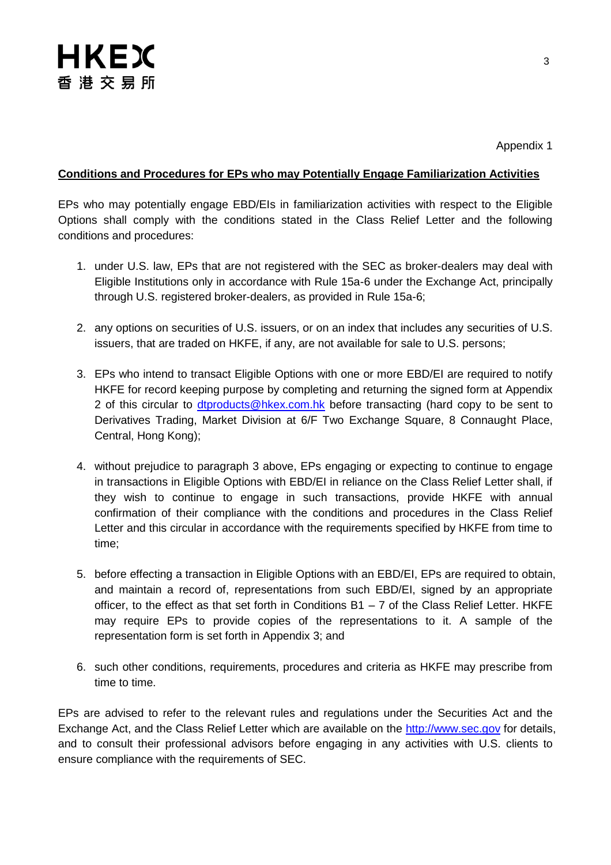### **Conditions and Procedures for EPs who may Potentially Engage Familiarization Activities**

EPs who may potentially engage EBD/EIs in familiarization activities with respect to the Eligible Options shall comply with the conditions stated in the Class Relief Letter and the following conditions and procedures:

- 1. under U.S. law, EPs that are not registered with the SEC as broker-dealers may deal with Eligible Institutions only in accordance with Rule 15a-6 under the Exchange Act, principally through U.S. registered broker-dealers, as provided in Rule 15a-6;
- 2. any options on securities of U.S. issuers, or on an index that includes any securities of U.S. issuers, that are traded on HKFE, if any, are not available for sale to U.S. persons;
- 3. EPs who intend to transact Eligible Options with one or more EBD/EI are required to notify HKFE for record keeping purpose by completing and returning the signed form at Appendix 2 of this circular to [dtproducts@hkex.com.hk](mailto:dtproducts@hkex.com.hk) before transacting (hard copy to be sent to Derivatives Trading, Market Division at 6/F Two Exchange Square, 8 Connaught Place, Central, Hong Kong);
- 4. without prejudice to paragraph 3 above, EPs engaging or expecting to continue to engage in transactions in Eligible Options with EBD/EI in reliance on the Class Relief Letter shall, if they wish to continue to engage in such transactions, provide HKFE with annual confirmation of their compliance with the conditions and procedures in the Class Relief Letter and this circular in accordance with the requirements specified by HKFE from time to time;
- 5. before effecting a transaction in Eligible Options with an EBD/EI, EPs are required to obtain, and maintain a record of, representations from such EBD/EI, signed by an appropriate officer, to the effect as that set forth in Conditions  $B1 - 7$  of the Class Relief Letter. HKFE may require EPs to provide copies of the representations to it. A sample of the representation form is set forth in Appendix 3; and
- 6. such other conditions, requirements, procedures and criteria as HKFE may prescribe from time to time.

EPs are advised to refer to the relevant rules and regulations under the Securities Act and the Exchange Act, and the Class Relief Letter which are available on the [http://www.sec.gov](http://www.sec.gov/) for details, and to consult their professional advisors before engaging in any activities with U.S. clients to ensure compliance with the requirements of SEC.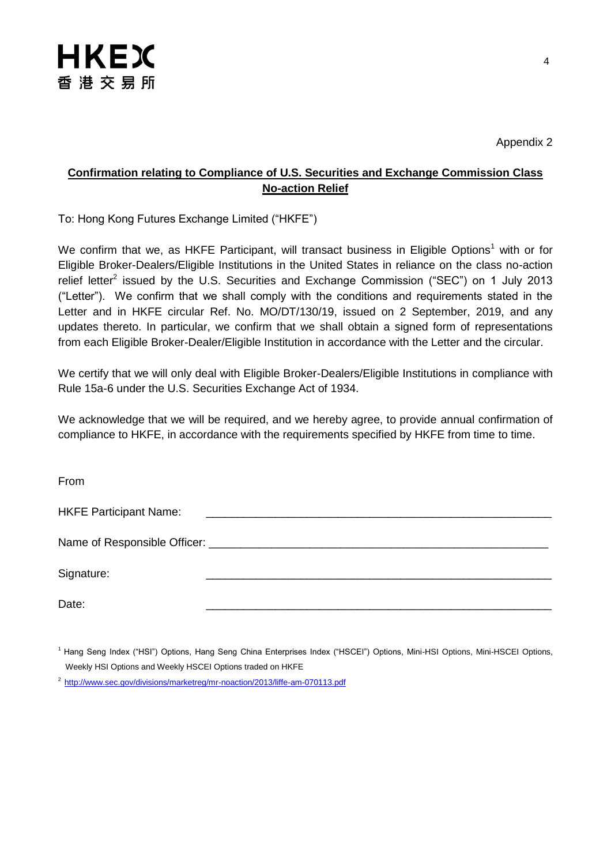

Appendix 2

### **Confirmation relating to Compliance of U.S. Securities and Exchange Commission Class No-action Relief**

To: Hong Kong Futures Exchange Limited ("HKFE")

We confirm that we, as HKFE Participant, will transact business in Eligible Options<sup>1</sup> with or for Eligible Broker-Dealers/Eligible Institutions in the United States in reliance on the class no-action relief letter<sup>2</sup> issued by the U.S. Securities and Exchange Commission ("SEC") on 1 July 2013 ("Letter"). We confirm that we shall comply with the conditions and requirements stated in the Letter and in HKFE circular Ref. No. MO/DT/130/19, issued on 2 September, 2019, and any updates thereto. In particular, we confirm that we shall obtain a signed form of representations from each Eligible Broker-Dealer/Eligible Institution in accordance with the Letter and the circular.

We certify that we will only deal with Eligible Broker-Dealers/Eligible Institutions in compliance with Rule 15a-6 under the U.S. Securities Exchange Act of 1934.

We acknowledge that we will be required, and we hereby agree, to provide annual confirmation of compliance to HKFE, in accordance with the requirements specified by HKFE from time to time.

From

| <b>HKFE Participant Name:</b> | <u> 1989 - Johann Stein, Amerikaansk politiker (</u> † 1920) |
|-------------------------------|--------------------------------------------------------------|
|                               |                                                              |
| Signature:                    |                                                              |
| Date:                         |                                                              |

<sup>1</sup> Hang Seng Index ("HSI") Options, Hang Seng China Enterprises Index ("HSCEI") Options, Mini-HSI Options, Mini-HSCEI Options, Weekly HSI Options and Weekly HSCEI Options traded on HKFE

<sup>&</sup>lt;sup>2</sup> <http://www.sec.gov/divisions/marketreg/mr-noaction/2013/liffe-am-070113.pdf>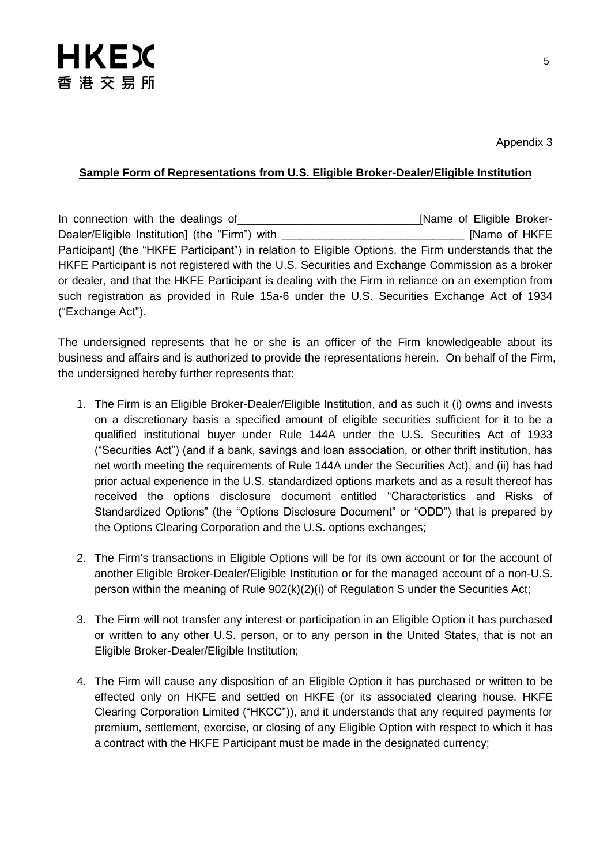

#### **Sample Form of Representations from U.S. Eligible Broker-Dealer/Eligible Institution**

In connection with the dealings of **Example 20** [Name of Eligible Broker-Dealer/Eligible Institution] (the "Firm") with **Example 20 Term in the Section Article 1** [Name of HKFE Participant] (the "HKFE Participant") in relation to Eligible Options, the Firm understands that the HKFE Participant is not registered with the U.S. Securities and Exchange Commission as a broker or dealer, and that the HKFE Participant is dealing with the Firm in reliance on an exemption from such registration as provided in Rule 15a-6 under the U.S. Securities Exchange Act of 1934 ("Exchange Act").

The undersigned represents that he or she is an officer of the Firm knowledgeable about its business and affairs and is authorized to provide the representations herein. On behalf of the Firm, the undersigned hereby further represents that:

- 1. The Firm is an Eligible Broker-Dealer/Eligible Institution, and as such it (i) owns and invests on a discretionary basis a specified amount of eligible securities sufficient for it to be a qualified institutional buyer under Rule 144A under the U.S. Securities Act of 1933 ("Securities Act") (and if a bank, savings and loan association, or other thrift institution, has net worth meeting the requirements of Rule 144A under the Securities Act), and (ii) has had prior actual experience in the U.S. standardized options markets and as a result thereof has received the options disclosure document entitled "Characteristics and Risks of Standardized Options" (the "Options Disclosure Document" or "ODD") that is prepared by the Options Clearing Corporation and the U.S. options exchanges;
- 2. The Firm's transactions in Eligible Options will be for its own account or for the account of another Eligible Broker-Dealer/Eligible Institution or for the managed account of a non-U.S. person within the meaning of Rule 902(k)(2)(i) of Regulation S under the Securities Act;
- 3. The Firm will not transfer any interest or participation in an Eligible Option it has purchased or written to any other U.S. person, or to any person in the United States, that is not an Eligible Broker-Dealer/Eligible Institution;
- 4. The Firm will cause any disposition of an Eligible Option it has purchased or written to be effected only on HKFE and settled on HKFE (or its associated clearing house, HKFE Clearing Corporation Limited ("HKCC")), and it understands that any required payments for premium, settlement, exercise, or closing of any Eligible Option with respect to which it has a contract with the HKFE Participant must be made in the designated currency;